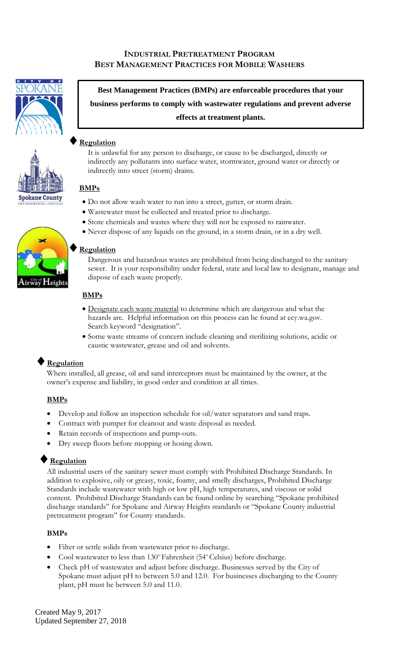# **INDUSTRIAL PRETREATMENT PROGRAM BEST MANAGEMENT PRACTICES FOR MOBILE WASHERS**







**Best Management Practices (BMPs) are enforceable procedures that your business performs to comply with wastewater regulations and prevent adverse effects at treatment plants.**

# **Regulation**

It is unlawful for any person to discharge, or cause to be discharged, directly or indirectly any pollutants into surface water, stormwater, ground water or directly or indirectly into street (storm) drains.

### **BMPs**

- Do not allow wash water to run into a street, gutter, or storm drain.
- Wastewater must be collected and treated prior to discharge.
- Store chemicals and wastes where they will not be exposed to rainwater.
- Never dispose of any liquids on the ground, in a storm drain, or in a dry well.

#### **Regulation**

Dangerous and hazardous wastes are prohibited from being discharged to the sanitary sewer. It is your responsibility under federal, state and local law to designate, manage and dispose of each waste properly.

#### **BMPs**

- Designate each waste material to determine which are dangerous and what the hazards are. Helpful information on this process can be found at ecy.wa.gov. Search keyword "designation".
- Some waste streams of concern include cleaning and sterilizing solutions, acidic or caustic wastewater, grease and oil and solvents.

## **Regulation**

Where installed, all grease, oil and sand interceptors must be maintained by the owner, at the owner's expense and liability, in good order and condition at all times.

### **BMPs**

- Develop and follow an inspection schedule for oil/water separators and sand traps.
- Contract with pumper for cleanout and waste disposal as needed.
- Retain records of inspections and pump-outs.
- Dry sweep floors before mopping or hosing down.

### **Regulation**

All industrial users of the sanitary sewer must comply with Prohibited Discharge Standards. In addition to explosive, oily or greasy, toxic, foamy, and smelly discharges, Prohibited Discharge Standards include wastewater with high or low pH, high temperatures, and viscous or solid content. Prohibited Discharge Standards can be found online by searching "Spokane prohibited discharge standards" for Spokane and Airway Heights standards or "Spokane County industrial pretreatment program" for County standards.

### **BMPs**

- Filter or settle solids from wastewater prior to discharge.
- Cool wastewater to less than 130° Fahrenheit (54° Celsius) before discharge.
- Check pH of wastewater and adjust before discharge. Businesses served by the City of Spokane must adjust pH to between 5.0 and 12.0. For businesses discharging to the County plant, pH must be between 5.0 and 11.0.

Created May 9, 2017 Updated September 27, 2018